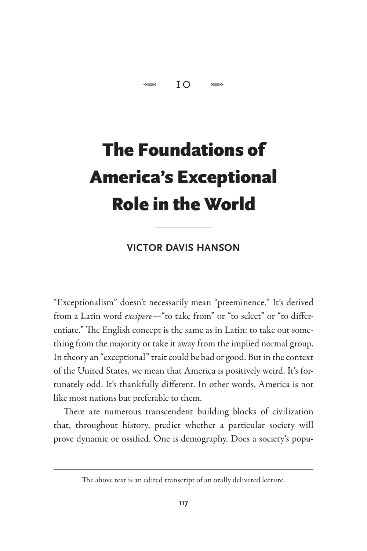$\Longleftrightarrow$  $10 \qquad \Leftrightarrow$ 

# The Foundations of America's Exceptional Role in the World

**VICTOR DAVIS HANSON**

"Exceptionalism" doesn't necessarily mean "preeminence." It's derived from a Latin word *excipere*—"to take from" or "to select" or "to differentiate." The English concept is the same as in Latin: to take out something from the majority or take it away from the implied normal group. In theory an "exceptional" trait could be bad or good. But in the context of the United States, we mean that America is positively weird. It's fortunately odd. It's thankfully different. In other words, America is not like most nations but preferable to them.

There are numerous transcendent building blocks of civilization that, throughout history, predict whether a particular society will prove dynamic or ossified. One is demography. Does a society's popu-

The above text is an edited transcript of an orally delivered lecture.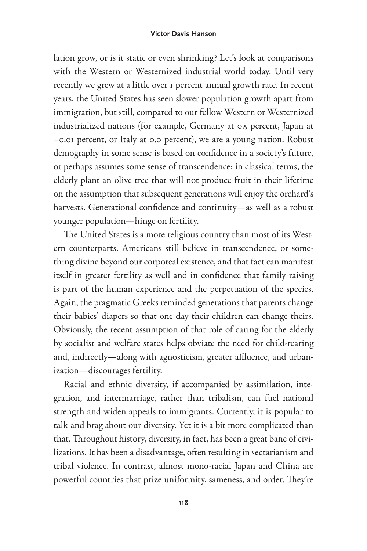lation grow, or is it static or even shrinking? Let's look at comparisons with the Western or Westernized industrial world today. Until very recently we grew at a little over 1 percent annual growth rate. In recent years, the United States has seen slower population growth apart from immigration, but still, compared to our fellow Western or Westernized industrialized nations (for example, Germany at 0.5 percent, Japan at – 0.01 percent, or Italy at 0.0 percent), we are a young nation. Robust demography in some sense is based on confidence in a society's future, or perhaps assumes some sense of transcendence; in classical terms, the elderly plant an olive tree that will not produce fruit in their lifetime on the assumption that subsequent generations will enjoy the orchard's harvests. Generational confidence and continuity-as well as a robust younger population—hinge on fertility.

The United States is a more religious country than most of its Western counterparts. Americans still believe in transcendence, or something divine beyond our corporeal existence, and that fact can manifest itself in greater fertility as well and in confidence that family raising is part of the human experience and the perpetuation of the species. Again, the pragmatic Greeks reminded generations that parents change their babies' diapers so that one day their children can change theirs. Obviously, the recent assumption of that role of caring for the elderly by socialist and welfare states helps obviate the need for child-rearing and, indirectly—along with agnosticism, greater affluence, and urbanization—discourages fertility.

Racial and ethnic diversity, if accompanied by assimilation, integration, and intermarriage, rather than tribalism, can fuel national strength and widen appeals to immigrants. Currently, it is popular to talk and brag about our diversity. Yet it is a bit more complicated than that. Throughout history, diversity, in fact, has been a great bane of civilizations. It has been a disadvantage, often resulting in sectarianism and tribal violence. In contrast, almost mono- racial Japan and China are powerful countries that prize uniformity, sameness, and order. They're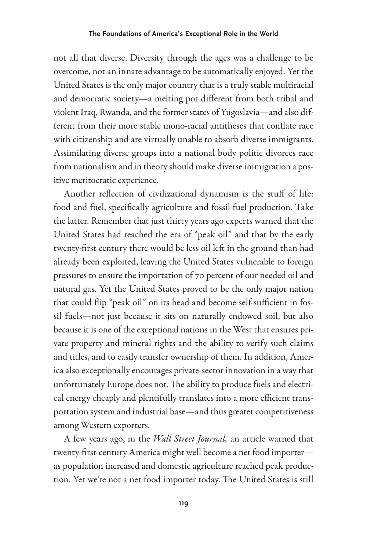## **The Foundations of America's Exceptional Role in the World**

not all that diverse. Diversity through the ages was a challenge to be overcome, not an innate advantage to be automatically enjoyed. Yet the United States is the only major country that is a truly stable multiracial and democratic society-a melting pot different from both tribal and violent Iraq, Rwanda, and the former states of Yugoslavia—and also different from their more stable mono-racial antitheses that conflate race with citizenship and are virtually unable to absorb diverse immigrants. Assimilating diverse groups into a national body politic divorces race from nationalism and in theory should make diverse immigration a positive meritocratic experience.

Another reflection of civilizational dynamism is the stuff of life: food and fuel, specifically agriculture and fossil-fuel production. Take the latter. Remember that just thirty years ago experts warned that the United States had reached the era of "peak oil" and that by the early twenty-first century there would be less oil left in the ground than had already been exploited, leaving the United States vulnerable to foreign pressures to ensure the importation of 70 percent of our needed oil and natural gas. Yet the United States proved to be the only major nation that could flip "peak oil" on its head and become self-sufficient in fossil fuels—not just because it sits on naturally endowed soil, but also because it is one of the exceptional nations in the West that ensures private property and mineral rights and the ability to verify such claims and titles, and to easily transfer ownership of them. In addition, America also exceptionally encourages private- sector innovation in a way that unfortunately Europe does not. The ability to produce fuels and electrical energy cheaply and plentifully translates into a more efficient transportation system and industrial base—and thus greater competitiveness among Western exporters.

A few years ago, in the *Wall Street Journal,* an article warned that twenty-first-century America might well become a net food importeras population increased and domestic agriculture reached peak production. Yet we're not a net food importer today. The United States is still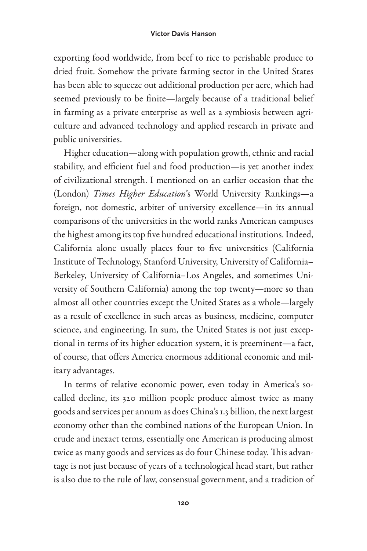exporting food worldwide, from beef to rice to perishable produce to dried fruit. Somehow the private farming sector in the United States has been able to squeeze out additional production per acre, which had seemed previously to be finite—largely because of a traditional belief in farming as a private enterprise as well as a symbiosis between agriculture and advanced technology and applied research in private and public universities.

Higher education—along with population growth, ethnic and racial stability, and efficient fuel and food production—is yet another index of civilizational strength. I mentioned on an earlier occasion that the (London) *Times Higher Education*'s World University Rankings—a foreign, not domestic, arbiter of university excellence—in its annual comparisons of the universities in the world ranks American campuses the highest among its top five hundred educational institutions. Indeed, California alone usually places four to five universities (California Institute of Technology, Stanford University, University of California– Berkeley, University of California–Los Angeles, and sometimes University of Southern California) among the top twenty—more so than almost all other countries except the United States as a whole—largely as a result of excellence in such areas as business, medicine, computer science, and engineering. In sum, the United States is not just exceptional in terms of its higher education system, it is preeminent—a fact, of course, that offers America enormous additional economic and military advantages.

In terms of relative economic power, even today in America's socalled decline, its 320 million people produce almost twice as many goods and services per annum as does China's 1.3 billion, the next largest economy other than the combined nations of the European Union. In crude and inexact terms, essentially one American is producing almost twice as many goods and services as do four Chinese today. This advantage is not just because of years of a technological head start, but rather is also due to the rule of law, consensual government, and a tradition of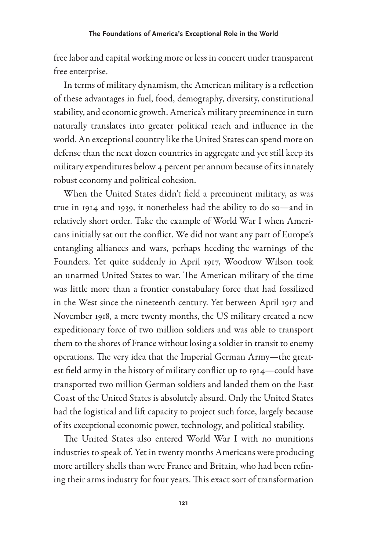free labor and capital working more or less in concert under transparent free enterprise.

In terms of military dynamism, the American military is a reflection of these advantages in fuel, food, demography, diversity, constitutional stability, and economic growth. America's military preeminence in turn naturally translates into greater political reach and influence in the world. An exceptional country like the United States can spend more on defense than the next dozen countries in aggregate and yet still keep its military expenditures below 4 percent per annum because of its innately robust economy and political cohesion.

When the United States didn't field a preeminent military, as was true in 1914 and 1939, it nonetheless had the ability to do so—and in relatively short order. Take the example of World War I when Americans initially sat out the conflict. We did not want any part of Europe's entangling alliances and wars, perhaps heeding the warnings of the Founders. Yet quite suddenly in April 1917, Woodrow Wilson took an unarmed United States to war. The American military of the time was little more than a frontier constabulary force that had fossilized in the West since the nineteenth century. Yet between April 1917 and November 1918, a mere twenty months, the US military created a new expeditionary force of two million soldiers and was able to transport them to the shores of France without losing a soldier in transit to enemy operations. The very idea that the Imperial German Army-the greatest field army in the history of military conflict up to 1914—could have transported two million German soldiers and landed them on the East Coast of the United States is absolutely absurd. Only the United States had the logistical and lift capacity to project such force, largely because of its exceptional economic power, technology, and political stability.

The United States also entered World War I with no munitions industries to speak of. Yet in twenty months Americans were producing more artillery shells than were France and Britain, who had been refining their arms industry for four years. This exact sort of transformation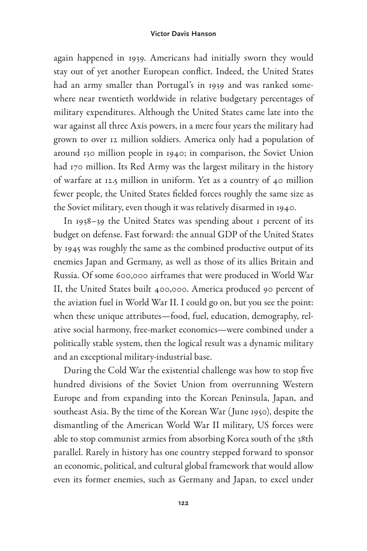again happened in 1939. Americans had initially sworn they would stay out of yet another European conflict. Indeed, the United States had an army smaller than Portugal's in 1939 and was ranked somewhere near twentieth worldwide in relative budgetary percentages of military expenditures. Although the United States came late into the war against all three Axis powers, in a mere four years the military had grown to over 12 million soldiers. America only had a population of around 130 million people in 1940; in comparison, the Soviet Union had 170 million. Its Red Army was the largest military in the history of warfare at 12.5 million in uniform. Yet as a country of 40 million fewer people, the United States fielded forces roughly the same size as the Soviet military, even though it was relatively disarmed in 1940.

In 1938–39 the United States was spending about 1 percent of its budget on defense. Fast forward: the annual GDP of the United States by 1945 was roughly the same as the combined productive output of its enemies Japan and Germany, as well as those of its allies Britain and Russia. Of some 600,000 airframes that were produced in World War II, the United States built 400,000. America produced 90 percent of the aviation fuel in World War II. I could go on, but you see the point: when these unique attributes—food, fuel, education, demography, relative social harmony, free-market economics—were combined under a politically stable system, then the logical result was a dynamic military and an exceptional military-industrial base.

During the Cold War the existential challenge was how to stop five hundred divisions of the Soviet Union from overrunning Western Europe and from expanding into the Korean Peninsula, Japan, and southeast Asia. By the time of the Korean War (June 1950), despite the dismantling of the American World War II military, US forces were able to stop communist armies from absorbing Korea south of the 38th parallel. Rarely in history has one country stepped forward to sponsor an economic, political, and cultural global framework that would allow even its former enemies, such as Germany and Japan, to excel under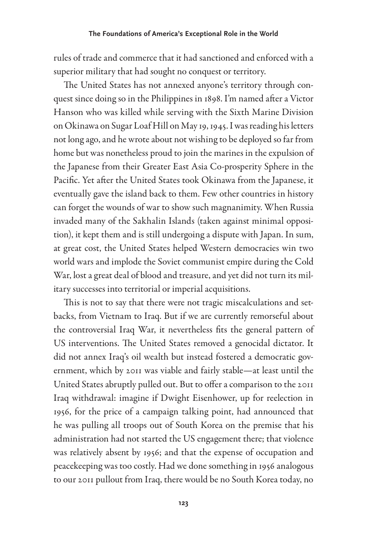rules of trade and commerce that it had sanctioned and enforced with a superior military that had sought no conquest or territory.

The United States has not annexed anyone's territory through conquest since doing so in the Philippines in 1898. I'm named after a Victor Hanson who was killed while serving with the Sixth Marine Division on Okinawa on Sugar Loaf Hill on May 19, 1945. I was reading his letters not long ago, and he wrote about not wishing to be deployed so far from home but was nonetheless proud to join the marines in the expulsion of the Japanese from their Greater East Asia Co-prosperity Sphere in the Pacific. Yet after the United States took Okinawa from the Japanese, it eventually gave the island back to them. Few other countries in history can forget the wounds of war to show such magnanimity. When Russia invaded many of the Sakhalin Islands (taken against minimal opposition), it kept them and is still undergoing a dispute with Japan. In sum, at great cost, the United States helped Western democracies win two world wars and implode the Soviet communist empire during the Cold War, lost a great deal of blood and treasure, and yet did not turn its military successes into territorial or imperial acquisitions.

This is not to say that there were not tragic miscalculations and setbacks, from Vietnam to Iraq. But if we are currently remorseful about the controversial Iraq War, it nevertheless fits the general pattern of US interventions. The United States removed a genocidal dictator. It did not annex Iraq's oil wealth but instead fostered a democratic government, which by 2011 was viable and fairly stable—at least until the United States abruptly pulled out. But to offer a comparison to the 2011 Iraq withdrawal: imagine if Dwight Eisenhower, up for reelection in 1956, for the price of a campaign talking point, had announced that he was pulling all troops out of South Korea on the premise that his administration had not started the US engagement there; that violence was relatively absent by 1956; and that the expense of occupation and peacekeeping was too costly. Had we done something in 1956 analogous to our 2011 pullout from Iraq, there would be no South Korea today, no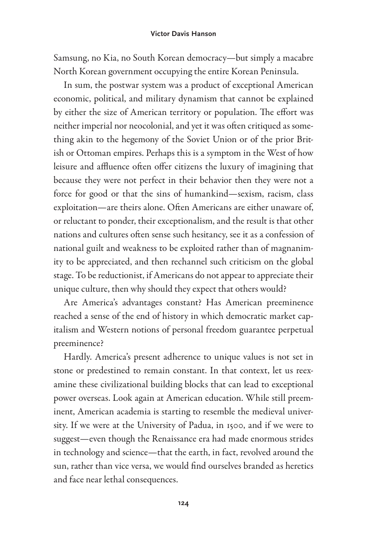Samsung, no Kia, no South Korean democracy—but simply a macabre North Korean government occupying the entire Korean Peninsula.

In sum, the postwar system was a product of exceptional American economic, political, and military dynamism that cannot be explained by either the size of American territory or population. The effort was neither imperial nor neocolonial, and yet it was often critiqued as something akin to the hegemony of the Soviet Union or of the prior British or Ottoman empires. Perhaps this is a symptom in the West of how leisure and affluence often offer citizens the luxury of imagining that because they were not perfect in their behavior then they were not a force for good or that the sins of humankind—sexism, racism, class exploitation—are theirs alone. Often Americans are either unaware of, or reluctant to ponder, their exceptionalism, and the result is that other nations and cultures often sense such hesitancy, see it as a confession of national guilt and weakness to be exploited rather than of magnanimity to be appreciated, and then rechannel such criticism on the global stage. To be reductionist, if Americans do not appear to appreciate their unique culture, then why should they expect that others would?

Are America's advantages constant? Has American preeminence reached a sense of the end of history in which democratic market capitalism and Western notions of personal freedom guarantee perpetual preeminence?

Hardly. America's present adherence to unique values is not set in stone or predestined to remain constant. In that context, let us reexamine these civilizational building blocks that can lead to exceptional power overseas. Look again at American education. While still preeminent, American academia is starting to resemble the medieval university. If we were at the University of Padua, in 1500, and if we were to suggest—even though the Renaissance era had made enormous strides in technology and science—that the earth, in fact, revolved around the sun, rather than vice versa, we would find ourselves branded as heretics and face near lethal consequences.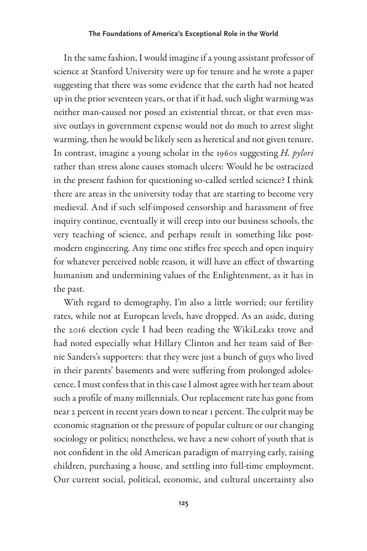## **The Foundations of America's Exceptional Role in the World**

In the same fashion, I would imagine if a young assistant professor of science at Stanford University were up for tenure and he wrote a paper suggesting that there was some evidence that the earth had not heated up in the prior seventeen years, or that if it had, such slight warming was neither man-caused nor posed an existential threat, or that even massive outlays in government expense would not do much to arrest slight warming, then he would be likely seen as heretical and not given tenure. In contrast, imagine a young scholar in the 1960s suggesting *H. pylori* rather than stress alone causes stomach ulcers: Would he be ostracized in the present fashion for questioning so- called settled science? I think there are areas in the university today that are starting to become very medieval. And if such self-imposed censorship and harassment of free inquiry continue, eventually it will creep into our business schools, the very teaching of science, and perhaps result in something like postmodern engineering. Any time one stifles free speech and open inquiry for whatever perceived noble reason, it will have an effect of thwarting humanism and undermining values of the Enlightenment, as it has in the past.

With regard to demography, I'm also a little worried; our fertility rates, while not at European levels, have dropped. As an aside, during the 2016 election cycle I had been reading the WikiLeaks trove and had noted especially what Hillary Clinton and her team said of Bernie Sanders's supporters: that they were just a bunch of guys who lived in their parents' basements and were suffering from prolonged adolescence. I must confess that in this case I almost agree with her team about such a profile of many millennials. Our replacement rate has gone from near 2 percent in recent years down to near 1 percent. The culprit may be economic stagnation or the pressure of popular culture or our changing sociology or politics; nonetheless, we have a new cohort of youth that is not confident in the old American paradigm of marrying early, raising children, purchasing a house, and settling into full-time employment. Our current social, political, economic, and cultural uncertainty also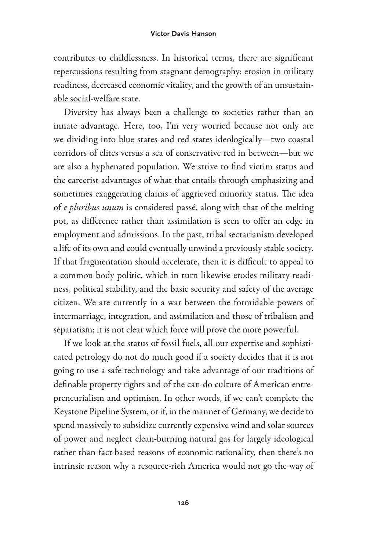contributes to childlessness. In historical terms, there are significant repercussions resulting from stagnant demography: erosion in military readiness, decreased economic vitality, and the growth of an unsustainable social- welfare state.

Diversity has always been a challenge to societies rather than an innate advantage. Here, too, I'm very worried because not only are we dividing into blue states and red states ideologically—two coastal corridors of elites versus a sea of conservative red in between—but we are also a hyphenated population. We strive to find victim status and the careerist advantages of what that entails through emphasizing and sometimes exaggerating claims of aggrieved minority status. The idea of *e pluribus unum* is considered passé, along with that of the melting pot, as difference rather than assimilation is seen to offer an edge in employment and admissions. In the past, tribal sectarianism developed a life of its own and could eventually unwind a previously stable society. If that fragmentation should accelerate, then it is difficult to appeal to a common body politic, which in turn likewise erodes military readiness, political stability, and the basic security and safety of the average citizen. We are currently in a war between the formidable powers of inter marriage, integration, and assimilation and those of tribalism and separatism; it is not clear which force will prove the more powerful.

If we look at the status of fossil fuels, all our expertise and sophisticated petrology do not do much good if a society decides that it is not going to use a safe technology and take advantage of our traditions of definable property rights and of the can-do culture of American entrepreneurialism and optimism. In other words, if we can't complete the Keystone Pipeline System, or if, in the manner of Germany, we decide to spend massively to subsidize currently expensive wind and solar sources of power and neglect clean- burning natural gas for largely ideological rather than fact-based reasons of economic rationality, then there's no intrinsic reason why a resource-rich America would not go the way of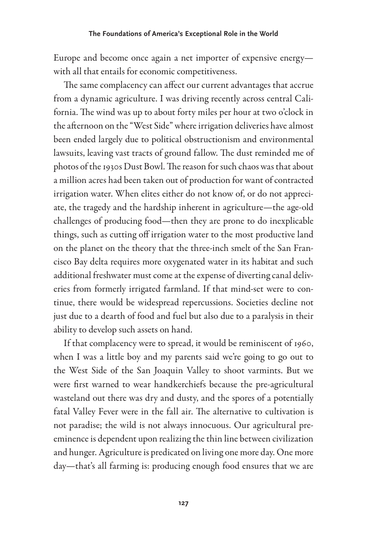Europe and become once again a net importer of expensive energy with all that entails for economic competitiveness.

The same complacency can affect our current advantages that accrue from a dynamic agriculture. I was driving recently across central California. The wind was up to about forty miles per hour at two o'clock in the afternoon on the "West Side" where irrigation deliveries have almost been ended largely due to political obstructionism and environmental lawsuits, leaving vast tracts of ground fallow. The dust reminded me of photos of the 1930s Dust Bowl. The reason for such chaos was that about a million acres had been taken out of production for want of contracted irrigation water. When elites either do not know of, or do not appreciate, the tragedy and the hardship inherent in agriculture—the age- old challenges of producing food—then they are prone to do inexplicable things, such as cutting off irrigation water to the most productive land on the planet on the theory that the three- inch smelt of the San Francisco Bay delta requires more oxygenated water in its habitat and such additional freshwater must come at the expense of diverting canal deliveries from formerly irrigated farmland. If that mind-set were to continue, there would be widespread repercussions. Societies decline not just due to a dearth of food and fuel but also due to a paralysis in their ability to develop such assets on hand.

If that complacency were to spread, it would be reminiscent of 1960, when I was a little boy and my parents said we're going to go out to the West Side of the San Joaquin Valley to shoot varmints. But we were first warned to wear handkerchiefs because the pre-agricultural wasteland out there was dry and dusty, and the spores of a potentially fatal Valley Fever were in the fall air. The alternative to cultivation is not paradise; the wild is not always innocuous. Our agricultural preeminence is dependent upon realizing the thin line between civilization and hunger. Agriculture is predicated on living one more day. One more day—that's all farming is: producing enough food ensures that we are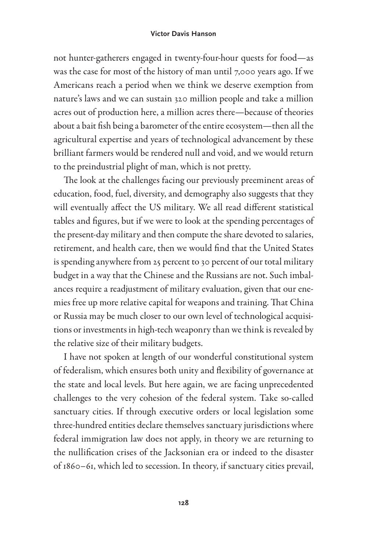not hunter-gatherers engaged in twenty-four-hour quests for food-as was the case for most of the history of man until 7,000 years ago. If we Americans reach a period when we think we deserve exemption from nature's laws and we can sustain 320 million people and take a million acres out of production here, a million acres there—because of theories about a bait fish being a barometer of the entire ecosystem-then all the agricultural expertise and years of technological advancement by these brilliant farmers would be rendered null and void, and we would return to the preindustrial plight of man, which is not pretty.

The look at the challenges facing our previously preeminent areas of education, food, fuel, diversity, and demography also suggests that they will eventually affect the US military. We all read different statistical tables and figures, but if we were to look at the spending percentages of the present- day military and then compute the share devoted to salaries, retirement, and health care, then we would find that the United States is spending anywhere from 25 percent to 30 percent of our total military budget in a way that the Chinese and the Russians are not. Such imbalances require a readjustment of military evaluation, given that our enemies free up more relative capital for weapons and training. That China or Russia may be much closer to our own level of technological acquisitions or investments in high- tech weaponry than we think is revealed by the relative size of their military budgets.

I have not spoken at length of our wonderful constitutional system of federalism, which ensures both unity and flexibility of governance at the state and local levels. But here again, we are facing unprecedented challenges to the very cohesion of the federal system. Take so-called sanctuary cities. If through executive orders or local legislation some three- hundred entities declare themselves sanctuary jurisdictions where federal immigration law does not apply, in theory we are returning to the nullification crises of the Jacksonian era or indeed to the disaster of 1860–61, which led to secession. In theory, if sanctuary cities prevail,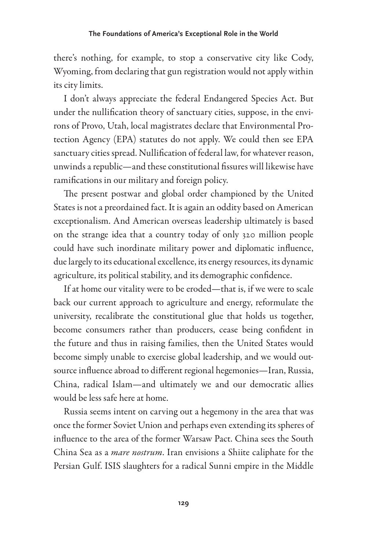there's nothing, for example, to stop a conservative city like Cody, Wyoming, from declaring that gun registration would not apply within its city limits.

I don't always appreciate the federal Endangered Species Act. But under the nullification theory of sanctuary cities, suppose, in the environs of Provo, Utah, local magistrates declare that Environmental Protection Agency (EPA) statutes do not apply. We could then see EPA sanctuary cities spread. Nullification of federal law, for whatever reason, unwinds a republic—and these constitutional fissures will likewise have ramifications in our military and foreign policy.

The present postwar and global order championed by the United States is not a preordained fact. It is again an oddity based on American exceptionalism. And American overseas leadership ultimately is based on the strange idea that a country today of only 320 million people could have such inordinate military power and diplomatic influence, due largely to its educational excellence, its energy resources, its dynamic agriculture, its political stability, and its demographic confidence.

If at home our vitality were to be eroded—that is, if we were to scale back our current approach to agriculture and energy, reformulate the university, recalibrate the constitutional glue that holds us together, become consumers rather than producers, cease being confident in the future and thus in raising families, then the United States would become simply unable to exercise global leadership, and we would outsource influence abroad to different regional hegemonies—Iran, Russia, China, radical Islam—and ultimately we and our democratic allies would be less safe here at home.

Russia seems intent on carving out a hegemony in the area that was once the former Soviet Union and perhaps even extending its spheres of influence to the area of the former Warsaw Pact. China sees the South China Sea as a *mare nostrum*. Iran envisions a Shiite caliphate for the Persian Gulf. ISIS slaughters for a radical Sunni empire in the Middle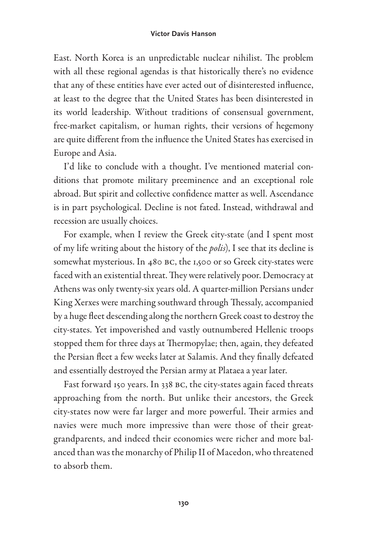East. North Korea is an unpredictable nuclear nihilist. The problem with all these regional agendas is that historically there's no evidence that any of these entities have ever acted out of disinterested influence, at least to the degree that the United States has been disinterested in its world leadership. Without traditions of consensual government, free- market capitalism, or human rights, their versions of hegemony are quite different from the influence the United States has exercised in Europe and Asia.

I'd like to conclude with a thought. I've mentioned material conditions that promote military preeminence and an exceptional role abroad. But spirit and collective confidence matter as well. Ascendance is in part psychological. Decline is not fated. Instead, withdrawal and recession are usually choices.

For example, when I review the Greek city-state (and I spent most of my life writing about the history of the *polis*), I see that its decline is somewhat mysterious. In 480 BC, the 1,500 or so Greek city-states were faced with an existential threat. They were relatively poor. Democracy at Athens was only twenty-six years old. A quarter-million Persians under King Xerxes were marching southward through Thessaly, accompanied by a huge fleet descending along the northern Greek coast to destroy the city- states. Yet impoverished and vastly outnumbered Hellenic troops stopped them for three days at Thermopylae; then, again, they defeated the Persian fleet a few weeks later at Salamis. And they finally defeated and essentially destroyed the Persian army at Plataea a year later.

Fast forward 150 years. In 338 BC, the city-states again faced threats approaching from the north. But unlike their ancestors, the Greek city-states now were far larger and more powerful. Their armies and navies were much more impressive than were those of their greatgrandparents, and indeed their economies were richer and more balanced than was the monarchy of Philip II of Macedon, who threatened to absorb them.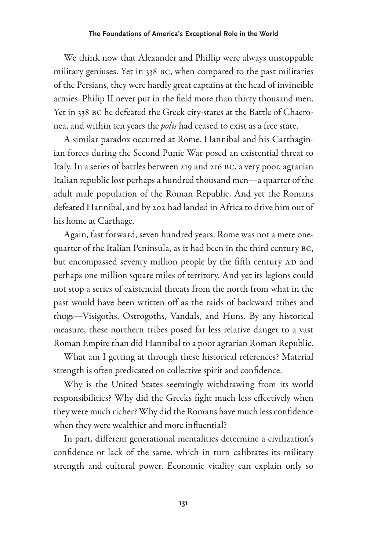## **The Foundations of America's Exceptional Role in the World**

We think now that Alexander and Phillip were always unstoppable military geniuses. Yet in 338 bc, when compared to the past militaries of the Persians, they were hardly great captains at the head of invincible armies. Philip II never put in the field more than thirty thousand men. Yet in 338 BC he defeated the Greek city-states at the Battle of Chaeronea, and within ten years the *polis* had ceased to exist as a free state.

A similar paradox occurred at Rome. Hannibal and his Carthaginian forces during the Second Punic War posed an existential threat to Italy. In a series of battles between 219 and 216 bc, a very poor, agrarian Italian republic lost perhaps a hundred thousand men—a quarter of the adult male population of the Roman Republic. And yet the Romans defeated Hannibal, and by 202 had landed in Africa to drive him out of his home at Carthage.

Again, fast forward, seven hundred years. Rome was not a mere onequarter of the Italian Peninsula, as it had been in the third century bc, but encompassed seventy million people by the fifth century AD and perhaps one million square miles of territory. And yet its legions could not stop a series of existential threats from the north from what in the past would have been written off as the raids of backward tribes and thugs— Visigoths, Ostrogoths, Vandals, and Huns. By any historical measure, these northern tribes posed far less relative danger to a vast Roman Empire than did Hannibal to a poor agrarian Roman Republic.

What am I getting at through these historical references? Material strength is often predicated on collective spirit and confidence.

Why is the United States seemingly withdrawing from its world responsibilities? Why did the Greeks fight much less effectively when they were much richer? Why did the Romans have much less confidence when they were wealthier and more influential?

In part, different generational mentalities determine a civilization's confidence or lack of the same, which in turn calibrates its military strength and cultural power. Economic vitality can explain only so